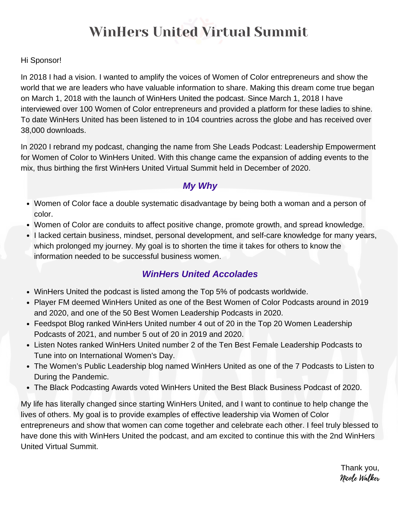#### Hi Sponsor!

In 2018 I had a vision. I wanted to amplify the voices of Women of Color entrepreneurs and show the world that we are leaders who have valuable information to share. Making this dream come true began on March 1, 2018 with the launch of WinHers United the podcast. Since March 1, 2018 I have interviewed over 100 Women of Color entrepreneurs and provided a platform for these ladies to shine. To date WinHers United has been listened to in 104 countries across the globe and has received over 38,000 downloads.

In 2020 I rebrand my podcast, changing the name from She Leads Podcast: Leadership Empowerment for Women of Color to WinHers United. With this change came the expansion of adding events to the mix, thus birthing the first WinHers United Virtual Summit held in December of 2020.

#### *My Why*

- Women of Color face a double systematic disadvantage by being both a woman and a person of color.
- Women of Color are conduits to affect positive change, promote growth, and spread knowledge.
- I lacked certain business, mindset, personal development, and self-care knowledge for many years, which prolonged my journey. My goal is to shorten the time it takes for others to know the information needed to be successful business women.

### *WinHers United Accolades*

- WinHers United the podcast is listed among the Top 5% of podcasts worldwide.
- Player FM deemed WinHers United as one of the Best Women of Color Podcasts around in 2019 and 2020, and one of the 50 Best Women Leadership Podcasts in 2020.
- Feedspot Blog ranked WinHers United number 4 out of 20 in the Top 20 Women Leadership Podcasts of 2021, and number 5 out of 20 in 2019 and 2020.
- Listen Notes ranked WinHers United number 2 of the Ten Best Female Leadership Podcasts to Tune into on International Women's Day.
- The Women's Public Leadership blog named WinHers United as one of the 7 Podcasts to Listen to During the Pandemic.
- The Black Podcasting Awards voted WinHers United the Best Black Business Podcast of 2020.

My life has literally changed since starting WinHers United, and I want to continue to help change the lives of others. My goal is to provide examples of effective leadership via Women of Color entrepreneurs and show that women can come together and celebrate each other. I feel truly blessed to have done this with WinHers United the podcast, and am excited to continue this with the 2nd WinHers United Virtual Summit.

> Thank you, Nicole Walker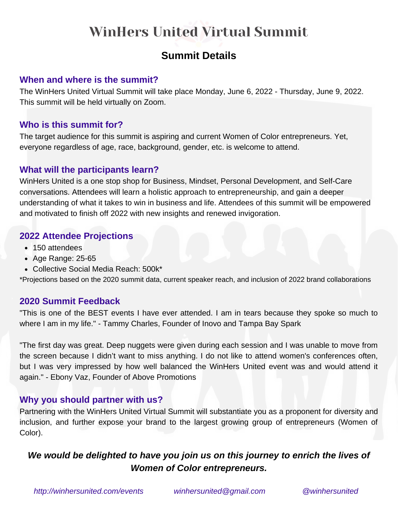# **Summit Details**

### **When and where is the summit?**

The WinHers United Virtual Summit will take place Monday, June 6, 2022 - Thursday, June 9, 2022. This summit will be held virtually on Zoom.

### **Who is this summit for?**

The target audience for this summit is aspiring and current Women of Color entrepreneurs. Yet, everyone regardless of age, race, background, gender, etc. is welcome to attend.

#### **What will the participants learn?**

WinHers United is a one stop shop for Business, Mindset, Personal Development, and Self-Care conversations. Attendees will learn a holistic approach to entrepreneurship, and gain a deeper understanding of what it takes to win in business and life. Attendees of this summit will be empowered and motivated to finish off 2022 with new insights and renewed invigoration.

### **2022 Attendee Projections**

- 150 attendees
- Age Range: 25-65
- Collective Social Media Reach: 500k\*

\*Projections based on the 2020 summit data, current speaker reach, and inclusion of 2022 brand collaborations

#### **2020 Summit Feedback**

"This is one of the BEST events I have ever attended. I am in tears because they spoke so much to where I am in my life." - Tammy Charles, Founder of Inovo and Tampa Bay Spark

"The first day was great. Deep nuggets were given during each session and I was unable to move from the screen because I didn't want to miss anything. I do not like to attend women's conferences often, but I was very impressed by how well balanced the WinHers United event was and would attend it again." - Ebony Vaz, Founder of Above Promotions

### **Why you should partner with us?**

Partnering with the WinHers United Virtual Summit will substantiate you as a proponent for diversity and inclusion, and further expose your brand to the largest growing group of entrepreneurs (Women of Color).

# *We would be delighted to have you join us on this journey to enrich the lives of Women of Color entrepreneurs.*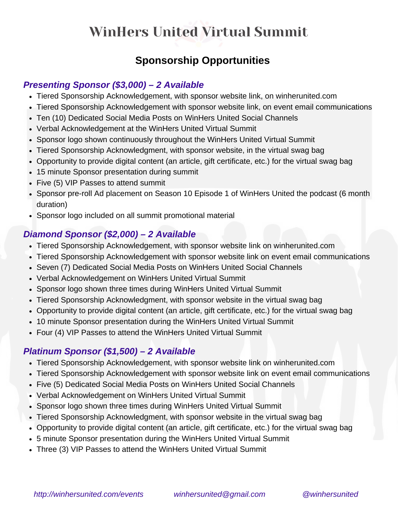# **Sponsorship Opportunities**

### *Presenting Sponsor (\$3,000) – 2 Available*

- Tiered Sponsorship Acknowledgement, with sponsor website link, on [winherunited.com](http://winherunited.com/)
- Tiered Sponsorship Acknowledgement with sponsor website link, on event email communications
- Ten (10) Dedicated Social Media Posts on WinHers United Social Channels
- Verbal Acknowledgement at the WinHers United Virtual Summit
- Sponsor logo shown continuously throughout the WinHers United Virtual Summit
- Tiered Sponsorship Acknowledgment, with sponsor website, in the virtual swag bag
- Opportunity to provide digital content (an article, gift certificate, etc.) for the virtual swag bag
- 15 minute Sponsor presentation during summit
- Five (5) VIP Passes to attend summit
- Sponsor pre-roll Ad placement on Season 10 Episode 1 of WinHers United the podcast (6 month duration)
- Sponsor logo included on all summit promotional material

## *Diamond Sponsor (\$2,000) – 2 Available*

- Tiered Sponsorship Acknowledgement, with sponsor website link on [winherunited.com](http://winherunited.com/)
- Tiered Sponsorship Acknowledgement with sponsor website link on event email communications
- Seven (7) Dedicated Social Media Posts on WinHers United Social Channels
- Verbal Acknowledgement on WinHers United Virtual Summit
- Sponsor logo shown three times during WinHers United Virtual Summit
- Tiered Sponsorship Acknowledgment, with sponsor website in the virtual swag bag
- Opportunity to provide digital content (an article, gift certificate, etc.) for the virtual swag bag
- 10 minute Sponsor presentation during the WinHers United Virtual Summit
- Four (4) VIP Passes to attend the WinHers United Virtual Summit

## *Platinum Sponsor (\$1,500) – 2 Available*

- Tiered Sponsorship Acknowledgement, with sponsor website link on [winherunited.com](http://winherunited.com/)
- Tiered Sponsorship Acknowledgement with sponsor website link on event email communications
- Five (5) Dedicated Social Media Posts on WinHers United Social Channels
- Verbal Acknowledgement on WinHers United Virtual Summit
- Sponsor logo shown three times during WinHers United Virtual Summit
- Tiered Sponsorship Acknowledgment, with sponsor website in the virtual swag bag
- Opportunity to provide digital content (an article, gift certificate, etc.) for the virtual swag bag
- 5 minute Sponsor presentation during the WinHers United Virtual Summit
- Three (3) VIP Passes to attend the WinHers United Virtual Summit